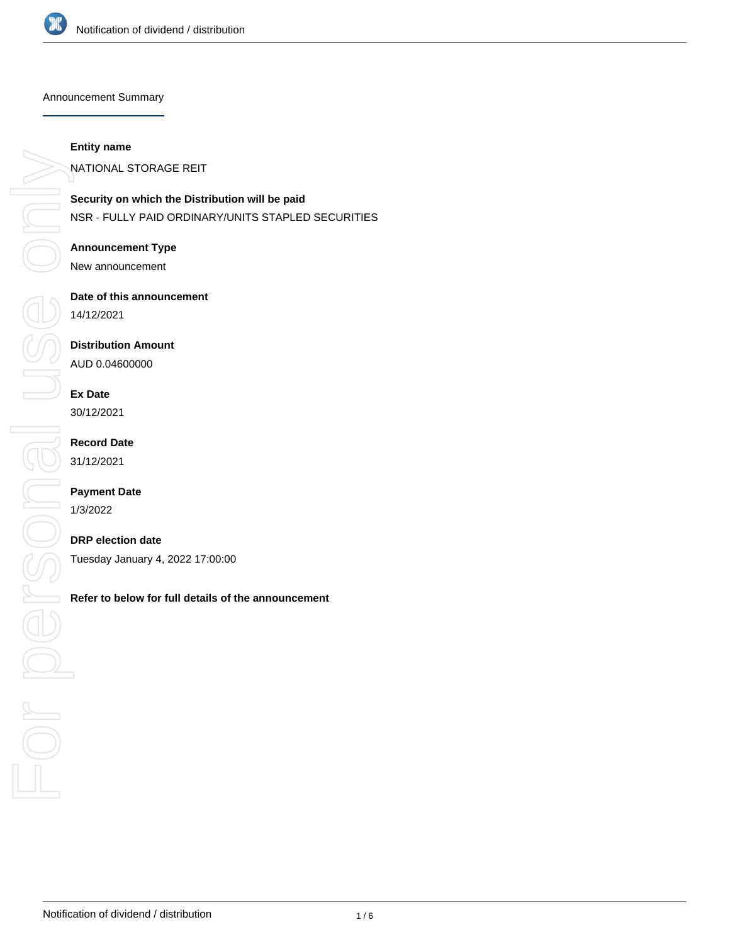

Announcement Summary

#### **Entity name**

NATIONAL STORAGE REIT

**Security on which the Distribution will be paid** NSR - FULLY PAID ORDINARY/UNITS STAPLED SECURITIES

#### **Announcement Type**

New announcement

#### **Date of this announcement**

14/12/2021

#### **Distribution Amount**

AUD 0.04600000

# **Ex Date**

30/12/2021

# **Record Date**

31/12/2021

### **Payment Date**

1/3/2022

### **DRP election date**

Tuesday January 4, 2022 17:00:00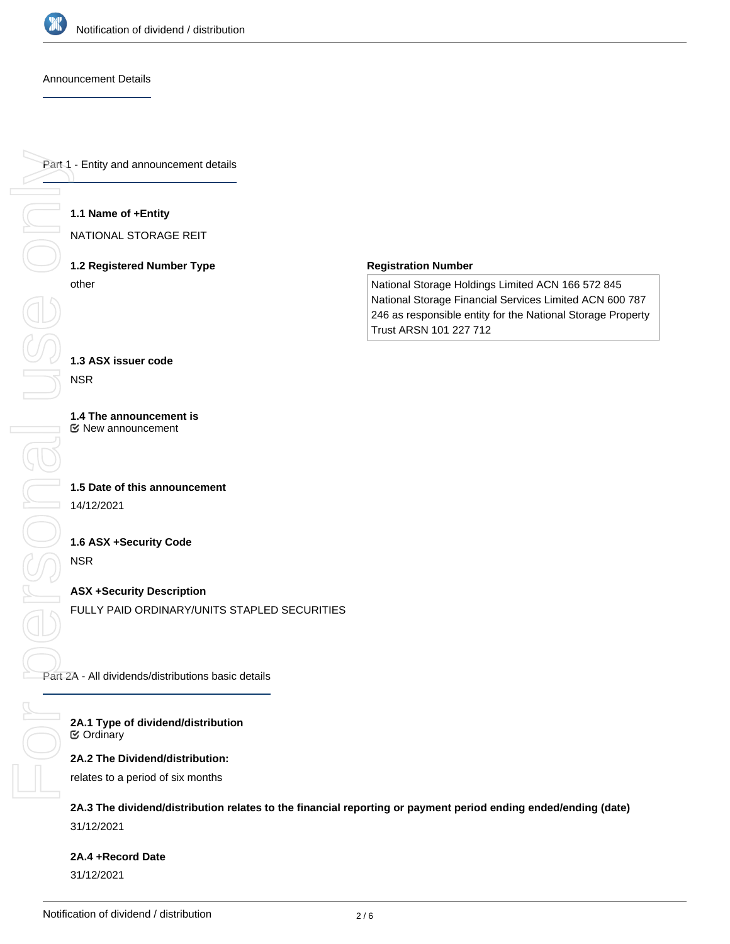

#### Announcement Details

Part 1 - Entity and announcement details

#### **1.1 Name of +Entity**

NATIONAL STORAGE REIT

# **1.2 Registered Number Type** other

#### **Registration Number**

National Storage Holdings Limited ACN 166 572 845 National Storage Financial Services Limited ACN 600 787 246 as responsible entity for the National Storage Property Trust ARSN 101 227 712

### **1.3 ASX issuer code**

NSR

#### **1.4 The announcement is** New announcement

# **1.5 Date of this announcement** 14/12/2021

### **1.6 ASX +Security Code**

NSR

### **ASX +Security Description**

FULLY PAID ORDINARY/UNITS STAPLED SECURITIES

Part 2A - All dividends/distributions basic details

#### **2A.1 Type of dividend/distribution** Ordinary

#### **2A.2 The Dividend/distribution:**

relates to a period of six months

# **2A.3 The dividend/distribution relates to the financial reporting or payment period ending ended/ending (date)** 31/12/2021

# **2A.4 +Record Date**

31/12/2021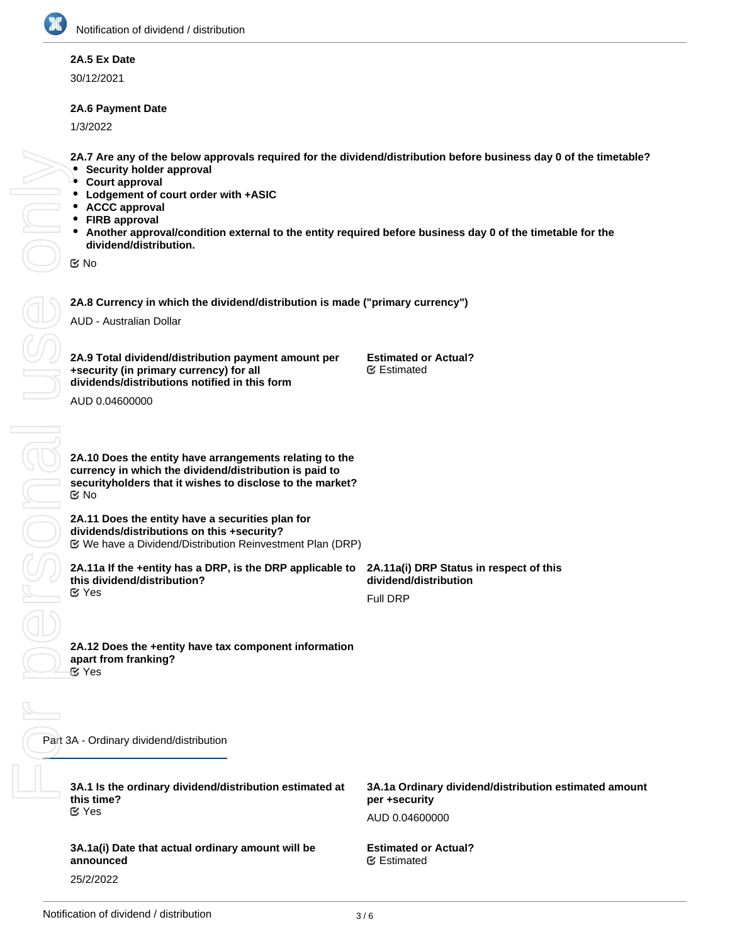# **2A.5 Ex Date**

30/12/2021

# **2A.6 Payment Date**

1/3/2022

- **2A.7 Are any of the below approvals required for the dividend/distribution before business day 0 of the timetable?**
- **Security holder approval**
- **Court approval**
- **Lodgement of court order with +ASIC**
- **ACCC approval**
- **FIRB approval**
- **Another approval/condition external to the entity required before business day 0 of the timetable for the dividend/distribution.**

No

**2A.8 Currency in which the dividend/distribution is made ("primary currency")**

AUD - Australian Dollar

**2A.9 Total dividend/distribution payment amount per +security (in primary currency) for all dividends/distributions notified in this form**

**Estimated or Actual?** Estimated

AUD 0.04600000

**2A.10 Does the entity have arrangements relating to the currency in which the dividend/distribution is paid to securityholders that it wishes to disclose to the market?** No

**2A.11 Does the entity have a securities plan for dividends/distributions on this +security?** We have a Dividend/Distribution Reinvestment Plan (DRP)

**2A.11a If the +entity has a DRP, is the DRP applicable to this dividend/distribution?** Yes

**2A.11a(i) DRP Status in respect of this dividend/distribution**

Full DRP

**2A.12 Does the +entity have tax component information apart from franking?** *S* Yes

Part 3A - Ordinary dividend/distribution

**3A.1 Is the ordinary dividend/distribution estimated at this time?** Yes

**3A.1a(i) Date that actual ordinary amount will be announced** 25/2/2022

**3A.1a Ordinary dividend/distribution estimated amount per +security**

AUD 0.04600000

**Estimated or Actual?** Estimated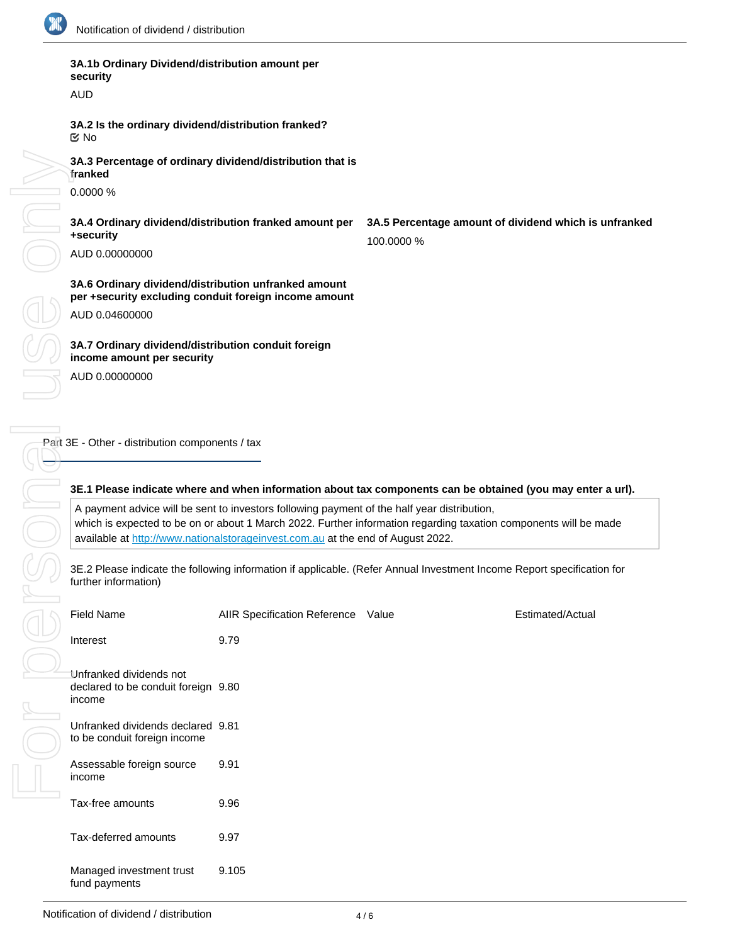

| 3A.2 Is the ordina<br><b>MO</b>                          |
|----------------------------------------------------------|
| 3A.3 Percentage<br>franked<br>0.0000 %                   |
|                                                          |
| 3A.4 Ordinary div<br>+security                           |
| AUD 0.00000000                                           |
| 3A.6 Ordinary div<br>per +security exc<br>AUD 0.04600000 |
|                                                          |
| 3A.7 Ordinary div<br>income amount p                     |
| AUD 0.00000000                                           |
|                                                          |
|                                                          |
| Part 3E - Other - distribu                               |
|                                                          |
|                                                          |
| 3E.1 Please indic<br>A payment advice                    |
| which is expected                                        |
| available at http://                                     |
| 3E.2 Please indica<br>further information                |
| <b>Field Name</b>                                        |
| Interest                                                 |
|                                                          |
| Unfranked dividen<br>declared to be con<br>income        |
| Unfranked dividen<br>to be conduit foreig                |
| Assessable foreigr<br>income                             |

# **3A.1b Ordinary Dividend/distribution amount per security**

**ALID** 

**3A.2 Is the ordinary dividend/distribution franked?**

of ordinary dividend/distribution that is

**3A.4 Ordinary dividend/distribution franked amount per**

**3A.6 Ordinary dividend/distribution unfranked amount per the individing conduit foreign income amount** 

**3A.7 Ordinary dividend/distribution conduit foreign incontracts** 

**3A.5 Percentage amount of dividend which is unfranked** 100.0000 %

tion components / tax

### ate where and when information about tax components can be obtained (you may enter a url).

e will be sent to investors following payment of the half year distribution, d to be on or about 1 March 2022. Further information regarding taxation components will be made /www.nationalstorageinvest.com.au at the end of August 2022.

ate the following information if applicable. (Refer Annual Investment Income Report specification for further information)

| <b>Field Name</b>                                                        | AIIR Specification Reference Value | Estimated/Actual |
|--------------------------------------------------------------------------|------------------------------------|------------------|
| Interest                                                                 | 9.79                               |                  |
| Unfranked dividends not<br>declared to be conduit foreign 9.80<br>income |                                    |                  |
| Unfranked dividends declared 9.81<br>to be conduit foreign income        |                                    |                  |
| Assessable foreign source<br>income                                      | 9.91                               |                  |
| Tax-free amounts                                                         | 9.96                               |                  |
| Tax-deferred amounts                                                     | 9.97                               |                  |
| Managed investment trust<br>fund payments                                | 9.105                              |                  |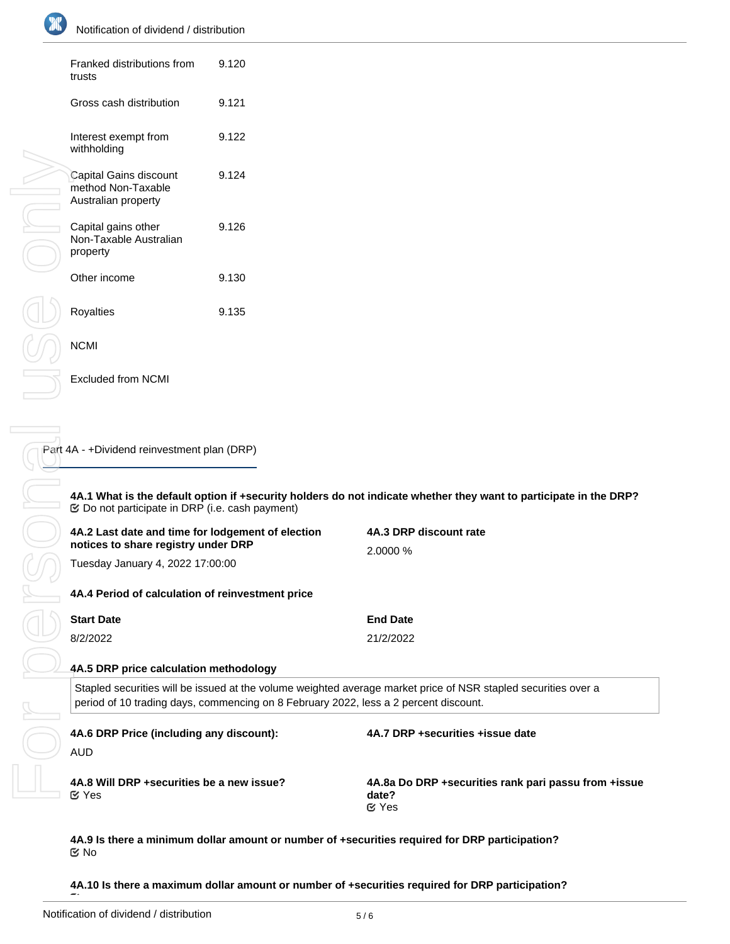

| Franked distributions from<br>trusts                                | 9.120 |
|---------------------------------------------------------------------|-------|
| Gross cash distribution                                             | 9.121 |
| Interest exempt from<br>withholding                                 | 9.122 |
| Capital Gains discount<br>method Non-Taxable<br>Australian property | 9.124 |
| Capital gains other<br>Non-Taxable Australian<br>property           | 9.126 |
| Other income                                                        | 9.130 |
| Royalties                                                           | 9.135 |
| <b>NCMI</b>                                                         |       |

| 4A.2 Last date and time for lodgement of election<br>notices to share registry under DRP<br>Tuesday January 4, 2022 17:00:00<br>4A.4 Period of calculation of reinvestment price<br><b>Start Date</b><br>8/2/2022<br>4A.5 DRP price calculation methodology |       | 4A.3 DRP discount rate<br>2.0000 %<br><b>End Date</b><br>21/2/2022<br>Stapled securities will be issued at the volume weighted average market price of NSR stapled securities over a |  |
|-------------------------------------------------------------------------------------------------------------------------------------------------------------------------------------------------------------------------------------------------------------|-------|--------------------------------------------------------------------------------------------------------------------------------------------------------------------------------------|--|
|                                                                                                                                                                                                                                                             |       |                                                                                                                                                                                      |  |
|                                                                                                                                                                                                                                                             |       |                                                                                                                                                                                      |  |
|                                                                                                                                                                                                                                                             |       |                                                                                                                                                                                      |  |
|                                                                                                                                                                                                                                                             |       |                                                                                                                                                                                      |  |
|                                                                                                                                                                                                                                                             |       |                                                                                                                                                                                      |  |
|                                                                                                                                                                                                                                                             |       |                                                                                                                                                                                      |  |
|                                                                                                                                                                                                                                                             |       |                                                                                                                                                                                      |  |
|                                                                                                                                                                                                                                                             |       | 4A.1 What is the default option if +security holders do not indicate whether they want to participate in the DRP?                                                                    |  |
| Part 4A - +Dividend reinvestment plan (DRP)                                                                                                                                                                                                                 |       |                                                                                                                                                                                      |  |
|                                                                                                                                                                                                                                                             |       |                                                                                                                                                                                      |  |
| <b>Excluded from NCMI</b>                                                                                                                                                                                                                                   |       |                                                                                                                                                                                      |  |
| <b>NCMI</b>                                                                                                                                                                                                                                                 |       |                                                                                                                                                                                      |  |
| Royalties                                                                                                                                                                                                                                                   | 9.135 |                                                                                                                                                                                      |  |
| Other income                                                                                                                                                                                                                                                | 9.130 |                                                                                                                                                                                      |  |
| Capital gains other<br>Non-Taxable Australian<br>property                                                                                                                                                                                                   | 9.126 |                                                                                                                                                                                      |  |
| method Non-Taxable<br>Australian property                                                                                                                                                                                                                   | 9.124 |                                                                                                                                                                                      |  |
| Capital Gains discount                                                                                                                                                                                                                                      |       |                                                                                                                                                                                      |  |

No

**4A.10 Is there a maximum dollar amount or number of +securities required for DRP participation?**